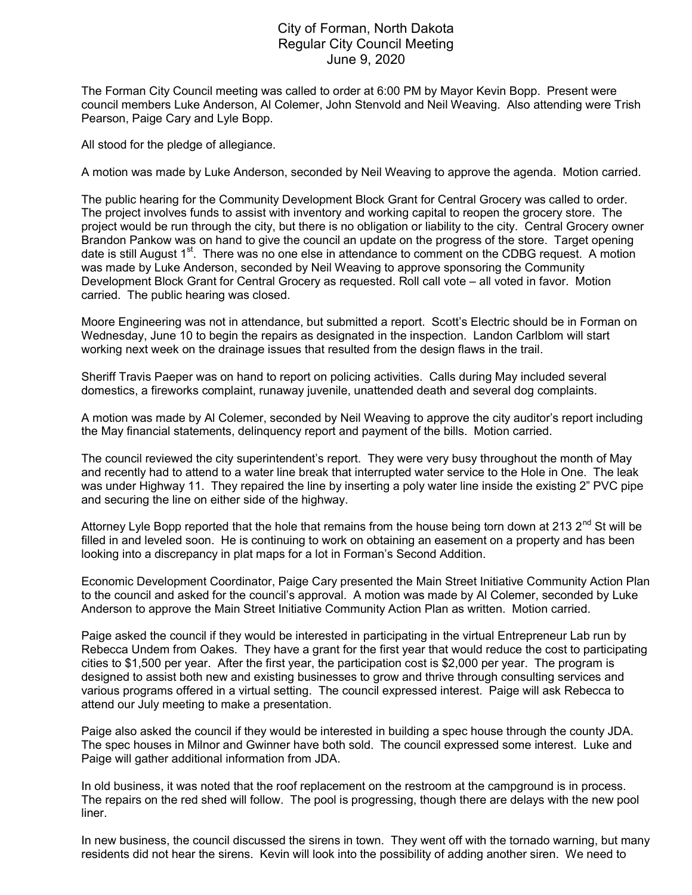## City of Forman, North Dakota Regular City Council Meeting June 9, 2020

The Forman City Council meeting was called to order at 6:00 PM by Mayor Kevin Bopp. Present were council members Luke Anderson, Al Colemer, John Stenvold and Neil Weaving. Also attending were Trish Pearson, Paige Cary and Lyle Bopp.

All stood for the pledge of allegiance.

A motion was made by Luke Anderson, seconded by Neil Weaving to approve the agenda. Motion carried.

The public hearing for the Community Development Block Grant for Central Grocery was called to order. The project involves funds to assist with inventory and working capital to reopen the grocery store. The project would be run through the city, but there is no obligation or liability to the city. Central Grocery owner Brandon Pankow was on hand to give the council an update on the progress of the store. Target opening date is still August 1<sup>st</sup>. There was no one else in attendance to comment on the CDBG request. A motion was made by Luke Anderson, seconded by Neil Weaving to approve sponsoring the Community Development Block Grant for Central Grocery as requested. Roll call vote – all voted in favor. Motion carried. The public hearing was closed.

Moore Engineering was not in attendance, but submitted a report. Scott's Electric should be in Forman on Wednesday, June 10 to begin the repairs as designated in the inspection. Landon Carlblom will start working next week on the drainage issues that resulted from the design flaws in the trail.

Sheriff Travis Paeper was on hand to report on policing activities. Calls during May included several domestics, a fireworks complaint, runaway juvenile, unattended death and several dog complaints.

A motion was made by Al Colemer, seconded by Neil Weaving to approve the city auditor's report including the May financial statements, delinquency report and payment of the bills. Motion carried.

The council reviewed the city superintendent's report. They were very busy throughout the month of May and recently had to attend to a water line break that interrupted water service to the Hole in One. The leak was under Highway 11. They repaired the line by inserting a poly water line inside the existing 2" PVC pipe and securing the line on either side of the highway.

Attorney Lyle Bopp reported that the hole that remains from the house being torn down at 213  $2^{nd}$  St will be filled in and leveled soon. He is continuing to work on obtaining an easement on a property and has been looking into a discrepancy in plat maps for a lot in Forman's Second Addition.

Economic Development Coordinator, Paige Cary presented the Main Street Initiative Community Action Plan to the council and asked for the council's approval. A motion was made by Al Colemer, seconded by Luke Anderson to approve the Main Street Initiative Community Action Plan as written. Motion carried.

Paige asked the council if they would be interested in participating in the virtual Entrepreneur Lab run by Rebecca Undem from Oakes. They have a grant for the first year that would reduce the cost to participating cities to \$1,500 per year. After the first year, the participation cost is \$2,000 per year. The program is designed to assist both new and existing businesses to grow and thrive through consulting services and various programs offered in a virtual setting. The council expressed interest. Paige will ask Rebecca to attend our July meeting to make a presentation.

Paige also asked the council if they would be interested in building a spec house through the county JDA. The spec houses in Milnor and Gwinner have both sold. The council expressed some interest. Luke and Paige will gather additional information from JDA.

In old business, it was noted that the roof replacement on the restroom at the campground is in process. The repairs on the red shed will follow. The pool is progressing, though there are delays with the new pool liner.

In new business, the council discussed the sirens in town. They went off with the tornado warning, but many residents did not hear the sirens. Kevin will look into the possibility of adding another siren. We need to